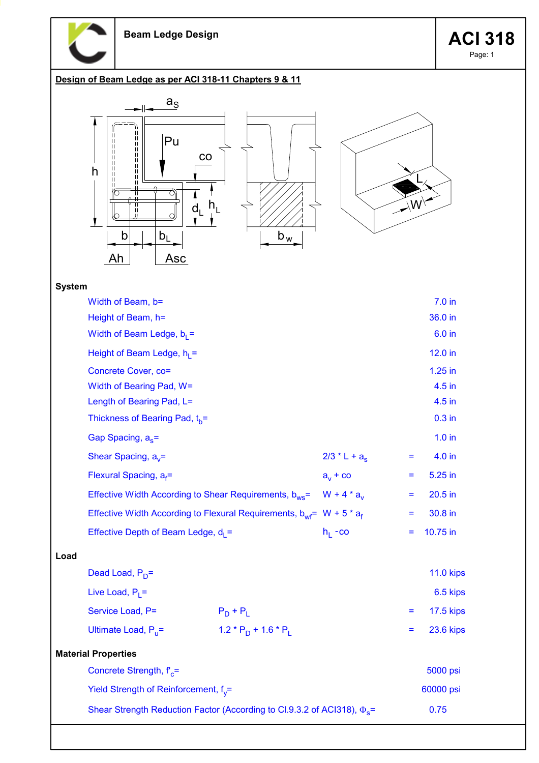

## Design of Beam Ledge as per ACI 318-11 Chapters 9 & 11



## System

|      | Width of Beam, b=                                                                   |                         |                   |         | 7.0 <sub>in</sub> |
|------|-------------------------------------------------------------------------------------|-------------------------|-------------------|---------|-------------------|
|      | Height of Beam, h=                                                                  |                         |                   |         | 36.0 in           |
|      | Width of Beam Ledge, $b_1 =$                                                        |                         |                   |         | 6.0 in            |
|      | Height of Beam Ledge, $h_1 =$                                                       |                         |                   |         | 12.0 in           |
|      | Concrete Cover, co=                                                                 |                         |                   |         | $1.25$ in         |
|      | Width of Bearing Pad, W=                                                            |                         |                   |         | 4.5 in            |
|      | Length of Bearing Pad, L=                                                           |                         |                   |         | 4.5 in            |
|      | Thickness of Bearing Pad, t <sub>h</sub> =                                          |                         |                   |         | $0.3$ in          |
|      | Gap Spacing, $a_s$ =                                                                |                         |                   |         | $1.0$ in          |
|      | Shear Spacing, $a_v =$                                                              |                         | $2/3$ * L + $a_s$ | =       | 4.0 in            |
|      | Flexural Spacing, $a_f =$                                                           | $a_v + c_0$             | Ξ                 | 5.25 in |                   |
|      | Effective Width According to Shear Requirements, $b_{ws}$ = W + 4 * $a_v$           |                         |                   | Ξ       | $20.5$ in         |
|      | Effective Width According to Flexural Requirements, $b_{wf}$ = W + 5 $* a_f$        |                         | Ξ                 | 30.8 in |                   |
|      | Effective Depth of Beam Ledge, $d_1 =$                                              |                         | $h_1 - co$        | Ξ       | 10.75 in          |
| Load |                                                                                     |                         |                   |         |                   |
|      | Dead Load, $P_D =$                                                                  |                         |                   |         | <b>11.0 kips</b>  |
|      | Live Load, $P_1 =$                                                                  |                         |                   |         | 6.5 kips          |
|      | Service Load, P=                                                                    | $P_D + P_L$             |                   | Ξ       | <b>17.5 kips</b>  |
|      | Ultimate Load, $P_{11}$ =                                                           | $1.2 * P_D + 1.6 * P_L$ |                   | Ξ       | <b>23.6 kips</b>  |
|      | <b>Material Properties</b>                                                          |                         |                   |         |                   |
|      | Concrete Strength, $f_c$ =                                                          |                         |                   |         | 5000 psi          |
|      | Yield Strength of Reinforcement, $f_v =$                                            |                         |                   |         | 60000 psi         |
|      | Shear Strength Reduction Factor (According to Cl.9.3.2 of ACl318), $\Phi_{\rm g}$ = |                         |                   |         | 0.75              |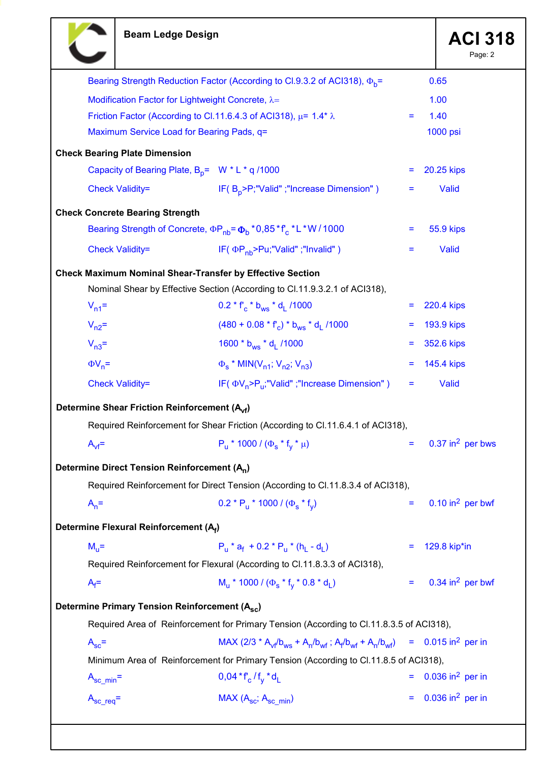T

|                        |                                                                                       |                                                                                          |          | Page: 2                          |  |  |
|------------------------|---------------------------------------------------------------------------------------|------------------------------------------------------------------------------------------|----------|----------------------------------|--|--|
|                        |                                                                                       | Bearing Strength Reduction Factor (According to Cl.9.3.2 of ACl318), $\Phi_b$ =          |          | 0.65                             |  |  |
|                        | Modification Factor for Lightweight Concrete, λ=                                      |                                                                                          |          | 1.00                             |  |  |
|                        |                                                                                       | Friction Factor (According to Cl.11.6.4.3 of ACl318), $\mu$ = 1.4* $\lambda$             | Ξ        | 1.40                             |  |  |
|                        | Maximum Service Load for Bearing Pads, q=                                             |                                                                                          |          | 1000 psi                         |  |  |
|                        | <b>Check Bearing Plate Dimension</b>                                                  |                                                                                          |          |                                  |  |  |
|                        | Capacity of Bearing Plate, $B_p = W * L * q / 1000$                                   |                                                                                          | Ξ        | 20.25 kips                       |  |  |
|                        | <b>Check Validity=</b>                                                                | IF(B <sub>p</sub> >P;"Valid";"Increase Dimension")                                       | =        | Valid                            |  |  |
|                        | <b>Check Concrete Bearing Strength</b>                                                |                                                                                          |          |                                  |  |  |
|                        |                                                                                       | Bearing Strength of Concrete, $\Phi P_{nb} = \Phi_b * 0.85 * f_c * L * W / 1000$         | =        | 55.9 kips                        |  |  |
|                        | <b>Check Validity=</b>                                                                | IF( $\Phi P_{\text{nh}}$ >Pu;"Valid";"Invalid")                                          |          | Valid                            |  |  |
|                        | <b>Check Maximum Nominal Shear-Transfer by Effective Section</b>                      |                                                                                          |          |                                  |  |  |
|                        |                                                                                       | Nominal Shear by Effective Section (According to Cl.11.9.3.2.1 of ACI318),               |          |                                  |  |  |
| $V_{n1}$ =             |                                                                                       | $0.2 * f_c * b_{ws} * d_1$ /1000                                                         | Ξ        | 220.4 kips                       |  |  |
| $V_{n2}$ =             |                                                                                       | $(480 + 0.08 * fc) * bws * d1$ /1000                                                     | Ξ        | <b>193.9 kips</b>                |  |  |
| $V_{n3}$ =             |                                                                                       | 1600 * b <sub>ws</sub> * d <sub>1</sub> /1000                                            | Ξ        | 352.6 kips                       |  |  |
| $\Phi V_n =$           |                                                                                       | $\Phi_{\rm s}$ * MIN(V <sub>n1</sub> ; V <sub>n2</sub> ; V <sub>n3</sub> )               |          | 145.4 kips                       |  |  |
|                        | <b>Check Validity=</b>                                                                | IF( $\Phi V_n > P_n$ ; "Valid"; "Increase Dimension")                                    | Ξ        | Valid                            |  |  |
|                        | Determine Shear Friction Reinforcement (A <sub>vf</sub> )                             |                                                                                          |          |                                  |  |  |
|                        |                                                                                       | Required Reinforcement for Shear Friction (According to Cl.11.6.4.1 of ACI318),          |          |                                  |  |  |
| $A_{\rm vf}$ =         |                                                                                       | $P_{\rm u}$ * 1000 / ( $\Phi_{\rm s}$ * f <sub>v</sub> * $\mu$ )                         | Ξ        | $0.37$ in <sup>2</sup> per bws   |  |  |
|                        | Determine Direct Tension Reinforcement (A <sub>n</sub> )                              |                                                                                          |          |                                  |  |  |
|                        |                                                                                       | Required Reinforcement for Direct Tension (According to Cl.11.8.3.4 of ACI318),          |          |                                  |  |  |
| $A_n =$                |                                                                                       | $0.2 * P_u * 1000 / (\Phi_s * f_v)$                                                      | Ξ        | $0.10$ in <sup>2</sup> per bwf   |  |  |
|                        | Determine Flexural Reinforcement (Af)                                                 |                                                                                          |          |                                  |  |  |
| $M_{\rm H}$ =          |                                                                                       | $P_{11}$ * $a_f$ + 0.2 * $P_{11}$ * (h <sub>1</sub> - d <sub>1</sub> )                   |          | 129.8 kip*in                     |  |  |
|                        |                                                                                       | Required Reinforcement for Flexural (According to Cl.11.8.3.3 of ACI318),                |          |                                  |  |  |
| $A_f =$                |                                                                                       | $M_{\rm H}$ * 1000 / ( $\Phi_{\rm s}$ * $f_{\rm v}$ * 0.8 * d <sub>1</sub> )             | $\equiv$ | 0.34 in <sup>2</sup> per bwf     |  |  |
|                        | Determine Primary Tension Reinforcement (A <sub>sc</sub> )                            |                                                                                          |          |                                  |  |  |
|                        |                                                                                       | Required Area of Reinforcement for Primary Tension (According to Cl.11.8.3.5 of ACI318), |          |                                  |  |  |
| $A_{\rm sc}$ =         |                                                                                       | MAX (2/3 * $A_{vf}$ / $b_{ws}$ + $A_n$ / $b_{wf}$ ; $A_f/b_{wf}$ + $A_n/b_{wf}$ )        |          | = $0.015$ in <sup>2</sup> per in |  |  |
|                        | Minimum Area of Reinforcement for Primary Tension (According to Cl.11.8.5 of ACI318), |                                                                                          |          |                                  |  |  |
| $A_{\text{sc\_min}}$ = |                                                                                       | $0.04 * f_c / f_v * d_l$                                                                 |          | $0.036$ in <sup>2</sup> per in   |  |  |
| $A_{\text{sc\_req}} =$ |                                                                                       | $MAX (Asc; Asc min)$                                                                     | Ξ        | $0.036$ in <sup>2</sup> per in   |  |  |
|                        |                                                                                       |                                                                                          |          |                                  |  |  |